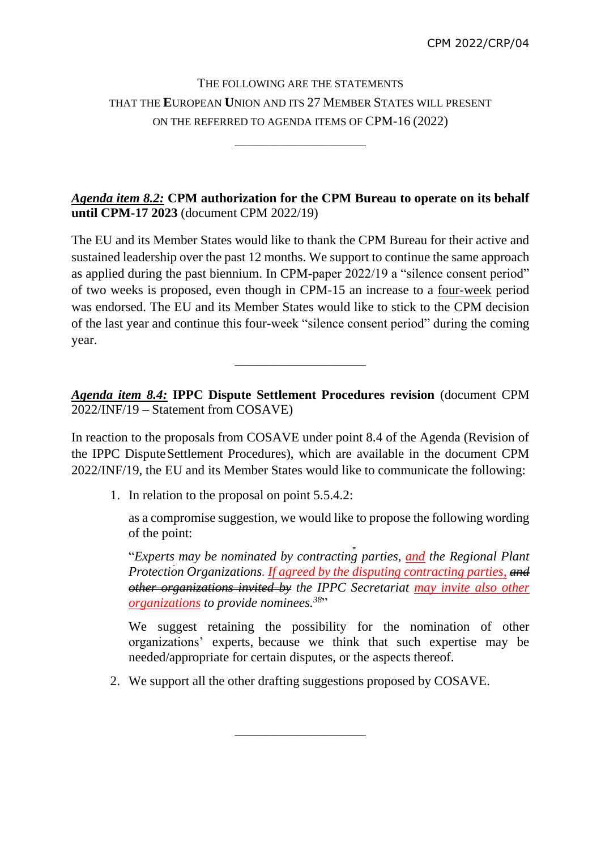# THE FOLLOWING ARE THE STATEMENTS THAT THE **E**UROPEAN **U**NION AND ITS 27 MEMBER STATES WILL PRESENT ON THE REFERRED TO AGENDA ITEMS OF CPM-16 (2022)

\_\_\_\_\_\_\_\_\_\_\_\_\_\_\_\_\_\_\_\_

## *Agenda item 8.2:* **CPM authorization for the CPM Bureau to operate on its behalf until CPM-17 2023** (document CPM 2022/19)

The EU and its Member States would like to thank the CPM Bureau for their active and sustained leadership over the past 12 months. We support to continue the same approach as applied during the past biennium. In CPM-paper 2022/19 a "silence consent period" of two weeks is proposed, even though in CPM-15 an increase to a four-week period was endorsed. The EU and its Member States would like to stick to the CPM decision of the last year and continue this four-week "silence consent period" during the coming year.

*Agenda item 8.4:* **IPPC Dispute Settlement Procedures revision** (document CPM 2022/INF/19 – Statement from COSAVE)

\_\_\_\_\_\_\_\_\_\_\_\_\_\_\_\_\_\_\_\_

In reaction to the proposals from COSAVE under point 8.4 of the Agenda (Revision of the IPPC Dispute Settlement Procedures), which are available in the document CPM 2022/INF/19, the EU and its Member States would like to communicate the following:

1. In relation to the proposal on point 5.5.4.2:

as a compromise suggestion, we would like to propose the following wording of the point:

"*Experts may be nominated by contracting parties, and the Regional Plant Protection Organizations. If agreed by the disputing contracting parties, and other organizations invited by the IPPC Secretariat may invite also other organizations to provide nominees.<sup>38</sup>* "

We suggest retaining the possibility for the nomination of other organizations' experts, because we think that such expertise may be needed/appropriate for certain disputes, or the aspects thereof.

2. We support all the other drafting suggestions proposed by COSAVE.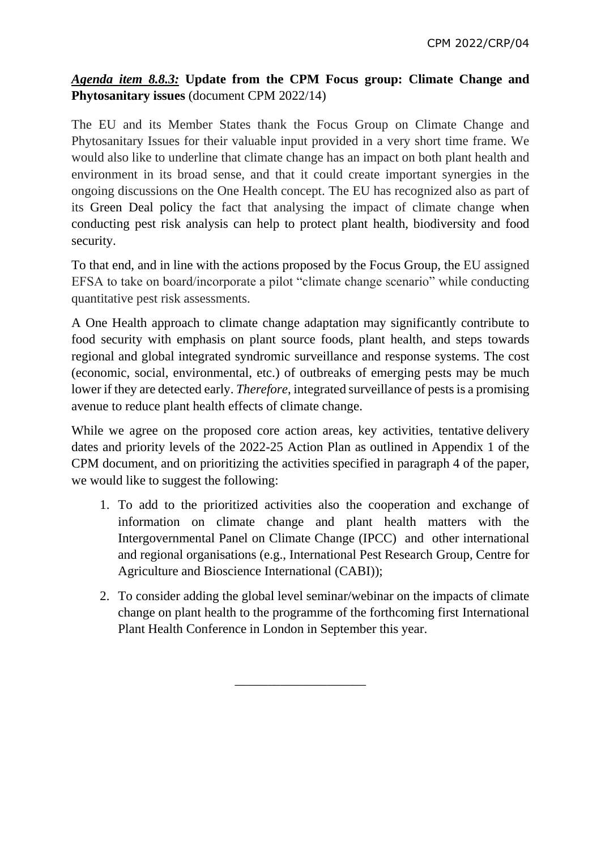## *Agenda item 8.8.3:* **Update from the CPM Focus group: Climate Change and Phytosanitary issues** (document CPM 2022/14)

The EU and its Member States thank the Focus Group on Climate Change and Phytosanitary Issues for their valuable input provided in a very short time frame. We would also like to underline that climate change has an impact on both plant health and environment in its broad sense, and that it could create important synergies in the ongoing discussions on the One Health concept. The EU has recognized also as part of its Green Deal policy the fact that analysing the impact of climate change when conducting pest risk analysis can help to protect plant health, biodiversity and food security.

To that end, and in line with the actions proposed by the Focus Group, the EU assigned EFSA to take on board/incorporate a pilot "climate change scenario" while conducting quantitative pest risk assessments.

A One Health approach to climate change adaptation may significantly contribute to food security with emphasis on plant source foods, plant health, and steps towards regional and global integrated syndromic surveillance and response systems. The cost (economic, social, environmental, etc.) of outbreaks of emerging pests may be much lower if they are detected early. *Therefore*, integrated surveillance of pests is a promising avenue to reduce plant health effects of climate change.

While we agree on the proposed core action areas, key activities, tentative delivery dates and priority levels of the 2022-25 Action Plan as outlined in Appendix 1 of the CPM document, and on prioritizing the activities specified in paragraph 4 of the paper, we would like to suggest the following:

- 1. To add to the prioritized activities also the cooperation and exchange of information on climate change and plant health matters with the Intergovernmental Panel on Climate Change (IPCC) and other international and regional organisations (e.g., International Pest Research Group, Centre for Agriculture and Bioscience International (CABI));
- 2. To consider adding the global level seminar/webinar on the impacts of climate change on plant health to the programme of the forthcoming first International Plant Health Conference in London in September this year.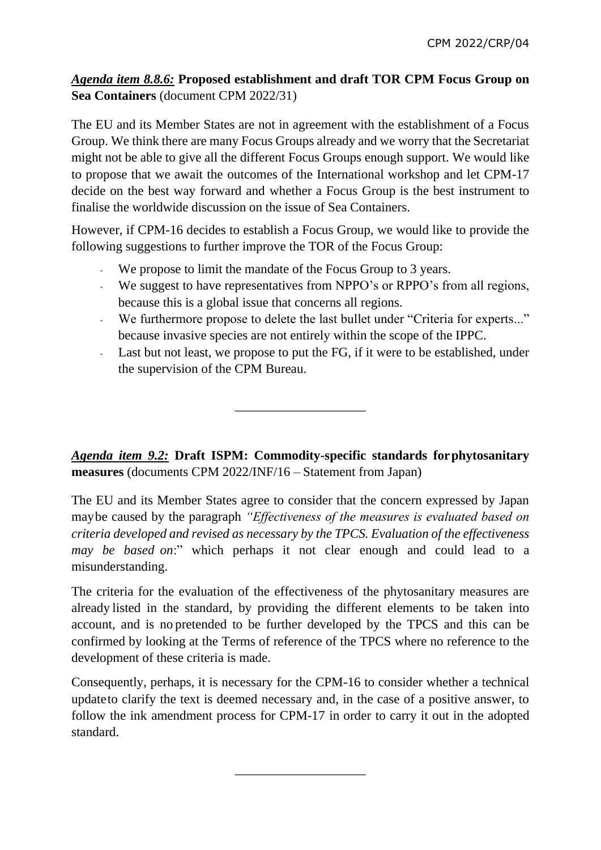#### *Agenda item 8.8.6:* **Proposed establishment and draft TOR CPM Focus Group on Sea Containers** (document CPM 2022/31)

The EU and its Member States are not in agreement with the establishment of a Focus Group. We think there are many Focus Groups already and we worry that the Secretariat might not be able to give all the different Focus Groups enough support. We would like to propose that we await the outcomes of the International workshop and let CPM-17 decide on the best way forward and whether a Focus Group is the best instrument to finalise the worldwide discussion on the issue of Sea Containers.

However, if CPM-16 decides to establish a Focus Group, we would like to provide the following suggestions to further improve the TOR of the Focus Group:

- We propose to limit the mandate of the Focus Group to 3 years.
- We suggest to have representatives from NPPO's or RPPO's from all regions, because this is a global issue that concerns all regions.
- We furthermore propose to delete the last bullet under "Criteria for experts..." because invasive species are not entirely within the scope of the IPPC.
- Last but not least, we propose to put the FG, if it were to be established, under the supervision of the CPM Bureau.

*Agenda item 9.2:* **Draft ISPM: Commodity-specific standards forphytosanitary measures** (documents CPM 2022/INF/16 – Statement from Japan)

\_\_\_\_\_\_\_\_\_\_\_\_\_\_\_\_\_\_\_\_

The EU and its Member States agree to consider that the concern expressed by Japan maybe caused by the paragraph *"Effectiveness of the measures is evaluated based on criteria developed and revised as necessary by the TPCS. Evaluation of the effectiveness may be based on*:" which perhaps it not clear enough and could lead to a misunderstanding.

The criteria for the evaluation of the effectiveness of the phytosanitary measures are already listed in the standard, by providing the different elements to be taken into account, and is no pretended to be further developed by the TPCS and this can be confirmed by looking at the Terms of reference of the TPCS where no reference to the development of these criteria is made.

Consequently, perhaps, it is necessary for the CPM-16 to consider whether a technical updateto clarify the text is deemed necessary and, in the case of a positive answer, to follow the ink amendment process for CPM-17 in order to carry it out in the adopted standard.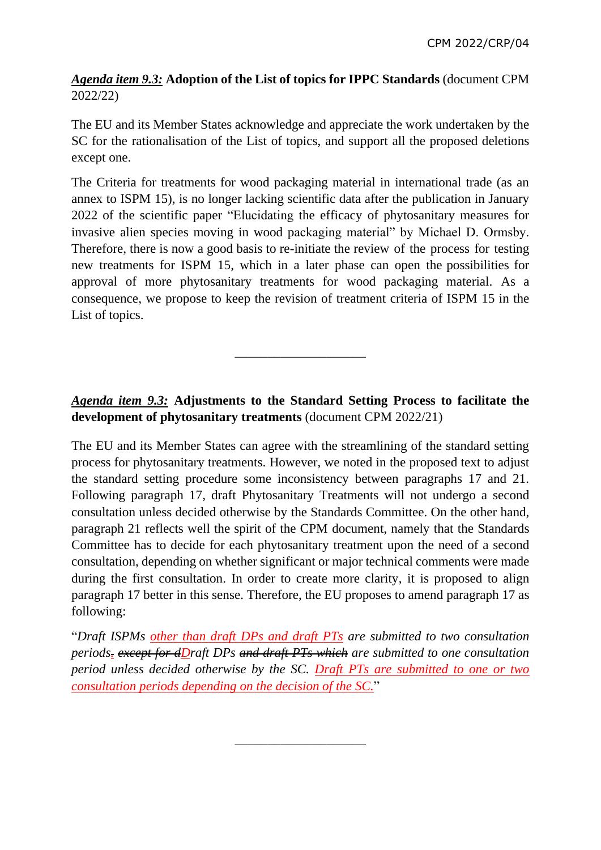## *Agenda item 9.3:* **Adoption of the List of topics for IPPC Standards** (document CPM 2022/22)

The EU and its Member States acknowledge and appreciate the work undertaken by the SC for the rationalisation of the List of topics, and support all the proposed deletions except one.

The Criteria for treatments for wood packaging material in international trade (as an annex to ISPM 15), is no longer lacking scientific data after the publication in January 2022 of the scientific paper "Elucidating the efficacy of phytosanitary measures for invasive alien species moving in wood packaging material" by Michael D. Ormsby. Therefore, there is now a good basis to re-initiate the review of the process for testing new treatments for ISPM 15, which in a later phase can open the possibilities for approval of more phytosanitary treatments for wood packaging material. As a consequence, we propose to keep the revision of treatment criteria of ISPM 15 in the List of topics.

## *Agenda item 9.3:* **Adjustments to the Standard Setting Process to facilitate the development of phytosanitary treatments** (document CPM 2022/21)

\_\_\_\_\_\_\_\_\_\_\_\_\_\_\_\_\_\_\_\_

The EU and its Member States can agree with the streamlining of the standard setting process for phytosanitary treatments. However, we noted in the proposed text to adjust the standard setting procedure some inconsistency between paragraphs 17 and 21. Following paragraph 17, draft Phytosanitary Treatments will not undergo a second consultation unless decided otherwise by the Standards Committee. On the other hand, paragraph 21 reflects well the spirit of the CPM document, namely that the Standards Committee has to decide for each phytosanitary treatment upon the need of a second consultation, depending on whether significant or major technical comments were made during the first consultation. In order to create more clarity, it is proposed to align paragraph 17 better in this sense. Therefore, the EU proposes to amend paragraph 17 as following:

"*Draft ISPMs other than draft DPs and draft PTs are submitted to two consultation periods. except for dDraft DPs and draft PTs which are submitted to one consultation period unless decided otherwise by the SC. Draft PTs are submitted to one or two consultation periods depending on the decision of the SC.*"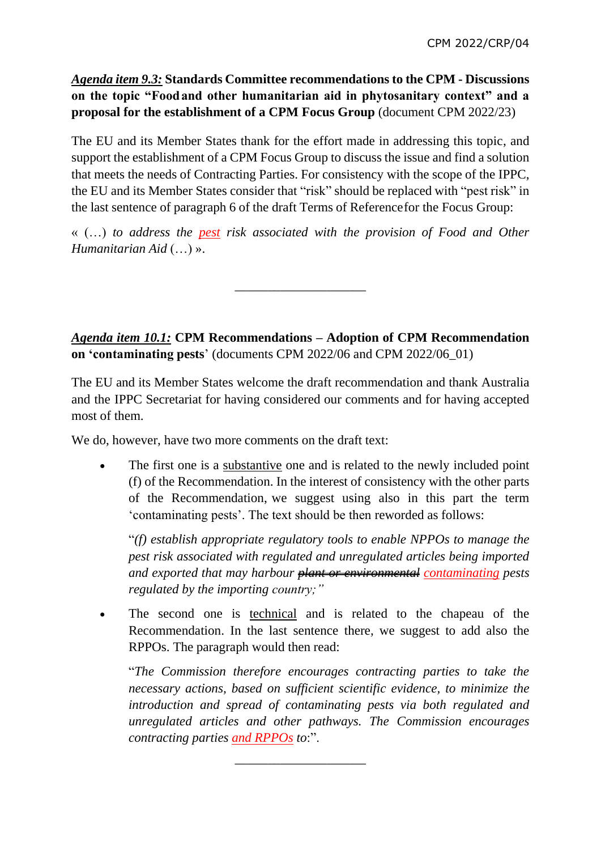*Agenda item 9.3:* **Standards Committee recommendations to the CPM - Discussions on the topic "Foodand other humanitarian aid in phytosanitary context" and a proposal for the establishment of a CPM Focus Group** (document CPM 2022/23)

The EU and its Member States thank for the effort made in addressing this topic, and support the establishment of a CPM Focus Group to discuss the issue and find a solution that meets the needs of Contracting Parties. For consistency with the scope of the IPPC, the EU and its Member States consider that "risk" should be replaced with "pest risk" in the last sentence of paragraph 6 of the draft Terms of Referencefor the Focus Group:

« (…) *to address the pest risk associated with the provision of Food and Other Humanitarian Aid* (…) ».

\_\_\_\_\_\_\_\_\_\_\_\_\_\_\_\_\_\_\_\_

*Agenda item 10.1:* **CPM Recommendations – Adoption of CPM Recommendation on 'contaminating pests**' (documents CPM 2022/06 and CPM 2022/06\_01)

The EU and its Member States welcome the draft recommendation and thank Australia and the IPPC Secretariat for having considered our comments and for having accepted most of them.

We do, however, have two more comments on the draft text:

 The first one is a substantive one and is related to the newly included point (f) of the Recommendation. In the interest of consistency with the other parts of the Recommendation, we suggest using also in this part the term 'contaminating pests'. The text should be then reworded as follows:

"*(f) establish appropriate regulatory tools to enable NPPOs to manage the pest risk associated with regulated and unregulated articles being imported and exported that may harbour plant or environmental contaminating pests regulated by the importing country;"*

 The second one is technical and is related to the chapeau of the Recommendation. In the last sentence there, we suggest to add also the RPPOs. The paragraph would then read:

"*The Commission therefore encourages contracting parties to take the necessary actions, based on sufficient scientific evidence, to minimize the introduction and spread of contaminating pests via both regulated and unregulated articles and other pathways. The Commission encourages contracting parties and RPPOs to*:".